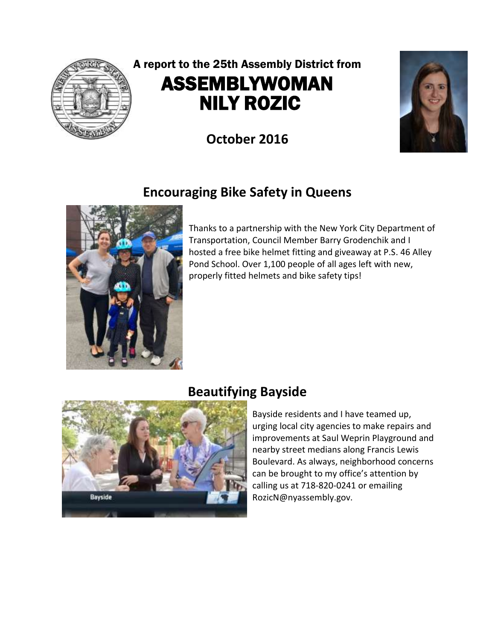

# A report to the 25th Assembly District from ASSEMBLYWOMAN NILY ROZIC

**October 2016**

# **Encouraging Bike Safety in Queens**



Thanks to a partnership with the New York City Department of Transportation, Council Member Barry Grodenchik and I hosted a free bike helmet fitting and giveaway at P.S. 46 Alley Pond School. Over 1,100 people of all ages left with new, properly fitted helmets and bike safety tips!

#### **Beautifying Bayside**



Bayside residents and I have teamed up, urging local city agencies to make repairs and improvements at Saul Weprin Playground and nearby street medians along Francis Lewis Boulevard. As always, neighborhood concerns can be brought to my office's attention by calling us at 718-820-0241 or emailing RozicN@nyassembly.gov.